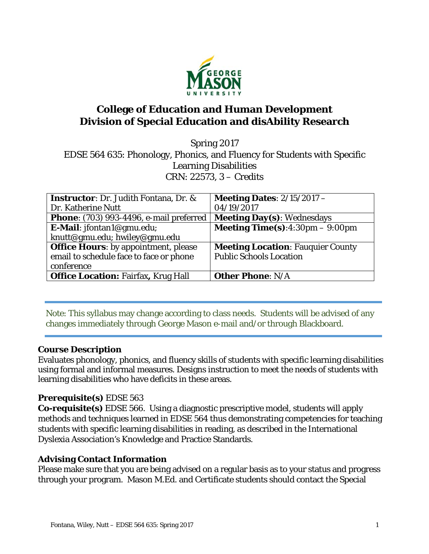

# **College of Education and Human Development Division of Special Education and disAbility Research**

Spring 2017 EDSE 564 635: Phonology, Phonics, and Fluency for Students with Specific Learning Disabilities CRN: 22573, 3 – Credits

| <b>Instructor:</b> Dr. Judith Fontana, Dr. &   | Meeting Dates: $2/15/2017 -$              |
|------------------------------------------------|-------------------------------------------|
| Dr. Katherine Nutt                             | 04/19/2017                                |
| <b>Phone:</b> (703) 993-4496, e-mail preferred | <b>Meeting Day(s): Wednesdays</b>         |
| E-Mail: jfontan1@gmu.edu;                      | <b>Meeting Time(s):</b> 4:30pm $-$ 9:00pm |
| knutt@gmu.edu; hwiley@gmu.edu                  |                                           |
| <b>Office Hours:</b> by appointment, please    | <b>Meeting Location: Fauguier County</b>  |
| email to schedule face to face or phone        | <b>Public Schools Location</b>            |
| conference                                     |                                           |
| <b>Office Location: Fairfax, Krug Hall</b>     | <b>Other Phone: N/A</b>                   |

Note: This syllabus may change according to class needs. Students will be advised of any changes immediately through George Mason e-mail and/or through Blackboard.

# **Course Description**

Evaluates phonology, phonics, and fluency skills of students with specific learning disabilities using formal and informal measures. Designs instruction to meet the needs of students with learning disabilities who have deficits in these areas.

#### **Prerequisite(s)** EDSE 563

**Co-requisite(s)** EDSE 566. Using a diagnostic prescriptive model, students will apply methods and techniques learned in EDSE 564 thus demonstrating competencies for teaching students with specific learning disabilities in reading, as described in the International Dyslexia Association's Knowledge and Practice Standards.

# **Advising Contact Information**

Please make sure that you are being advised on a regular basis as to your status and progress through your program. Mason M.Ed. and Certificate students should contact the Special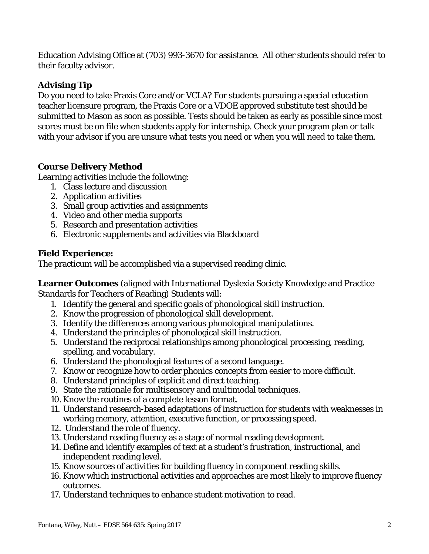Education Advising Office at (703) 993-3670 for assistance. All other students should refer to their faculty advisor.

# **Advising Tip**

Do you need to take Praxis Core and/or VCLA? For students pursuing a special education teacher licensure program, the Praxis Core or a VDOE approved substitute test should be submitted to Mason as soon as possible. Tests should be taken as early as possible since most scores must be on file when students apply for internship. Check your program plan or talk with your advisor if you are unsure what tests you need or when you will need to take them.

# **Course Delivery Method**

Learning activities include the following:

- 1. Class lecture and discussion
- 2. Application activities
- 3. Small group activities and assignments
- 4. Video and other media supports
- 5. Research and presentation activities
- 6. Electronic supplements and activities via Blackboard

# **Field Experience:**

The practicum will be accomplished via a supervised reading clinic.

**Learner Outcomes** (aligned with International Dyslexia Society Knowledge and Practice Standards for Teachers of Reading) Students will:

- 1. Identify the general and specific goals of phonological skill instruction.
- 2. Know the progression of phonological skill development.
- 3. Identify the differences among various phonological manipulations.
- 4. Understand the principles of phonological skill instruction.
- 5. Understand the reciprocal relationships among phonological processing, reading, spelling, and vocabulary.
- 6. Understand the phonological features of a second language.
- 7. Know or recognize how to order phonics concepts from easier to more difficult.
- 8. Understand principles of explicit and direct teaching.
- 9. State the rationale for multisensory and multimodal techniques.
- 10. Know the routines of a complete lesson format.
- 11. Understand research-based adaptations of instruction for students with weaknesses in working memory, attention, executive function, or processing speed.
- 12. Understand the role of fluency.
- 13. Understand reading fluency as a stage of normal reading development.
- 14. Define and identify examples of text at a student's frustration, instructional, and independent reading level.
- 15. Know sources of activities for building fluency in component reading skills.
- 16. Know which instructional activities and approaches are most likely to improve fluency outcomes.
- 17. Understand techniques to enhance student motivation to read.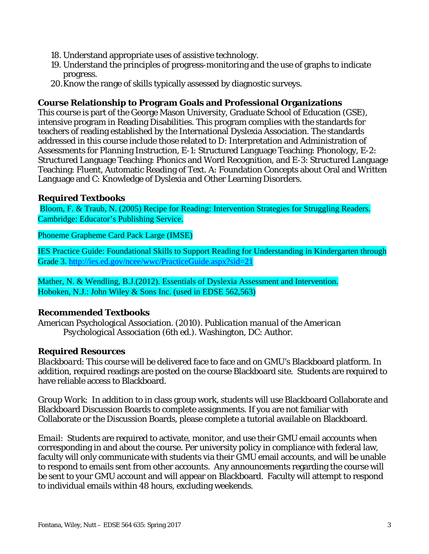- 18. Understand appropriate uses of assistive technology.
- 19. Understand the principles of progress-monitoring and the use of graphs to indicate progress.
- 20.Know the range of skills typically assessed by diagnostic surveys.

#### **Course Relationship to Program Goals and Professional Organizations**

This course is part of the George Mason University, Graduate School of Education (GSE), intensive program in Reading Disabilities. This program complies with the standards for teachers of reading established by the International Dyslexia Association. The standards addressed in this course include those related to D: Interpretation and Administration of Assessments for Planning Instruction, E-1: Structured Language Teaching: Phonology, E-2: Structured Language Teaching: Phonics and Word Recognition, and E-3: Structured Language Teaching: Fluent, Automatic Reading of Text. A: Foundation Concepts about Oral and Written Language and C: Knowledge of Dyslexia and Other Learning Disorders.

#### **Required Textbooks**

 Bloom, F. & Traub, N. (2005) Recipe for Reading: Intervention Strategies for Struggling Readers. Cambridge: Educator's Publishing Service.

Phoneme Grapheme Card Pack Large (IMSE)

IES Practice Guide: Foundational Skills to Support Reading for Understanding in Kindergarten through Grade 3. http://ies.ed.gov/ncee/wwc/PracticeGuide.aspx?sid=21

Mather, N. & Wendling, B.J.(2012). Essentials of Dyslexia Assessment and Intervention. Hoboken, N.J.: John Wiley & Sons Inc. (used in EDSE 562,563)

#### **Recommended Textbooks**

American Psychological Association*. (2010). Publication manual of the American Psychological Association* (6th ed.). Washington, DC: Author.

#### **Required Resources**

*Blackboard*: This course will be delivered face to face and on GMU's Blackboard platform. In addition, required readings are posted on the course Blackboard site. Students are required to have reliable access to Blackboard.

*Group Work*: In addition to in class group work, students will use Blackboard Collaborate and Blackboard Discussion Boards to complete assignments. If you are not familiar with Collaborate or the Discussion Boards, please complete a tutorial available on Blackboard.

*Email*: Students are required to activate, monitor, and use their GMU email accounts when corresponding in and about the course. Per university policy in compliance with federal law, faculty will only communicate with students via their GMU email accounts, and will be unable to respond to emails sent from other accounts. Any announcements regarding the course will be sent to your GMU account and will appear on Blackboard. Faculty will attempt to respond to individual emails within 48 hours, excluding weekends.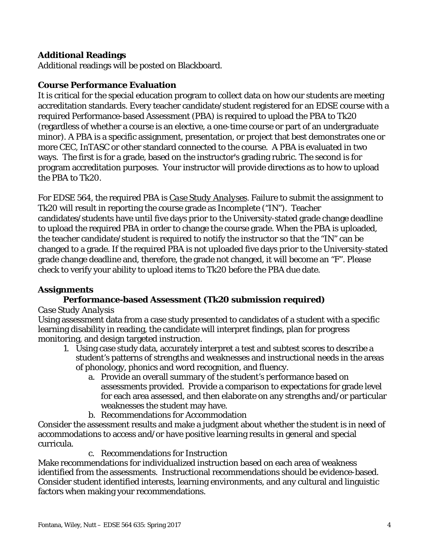# **Additional Readings**

Additional readings will be posted on Blackboard.

### **Course Performance Evaluation**

It is critical for the special education program to collect data on how our students are meeting accreditation standards. Every teacher candidate/student registered for an EDSE course with a required Performance-based Assessment (PBA) is required to upload the PBA to Tk20 (regardless of whether a course is an elective, a one-time course or part of an undergraduate minor). A PBA is a specific assignment, presentation, or project that best demonstrates one or more CEC, InTASC or other standard connected to the course. A PBA is evaluated in two ways. The first is for a grade, based on the instructor's grading rubric. The second is for program accreditation purposes. Your instructor will provide directions as to how to upload the PBA to Tk20.

For EDSE 564, the required PBA is *Case Study Analyses*. Failure to submit the assignment to Tk20 will result in reporting the course grade as Incomplete ("IN"). Teacher candidates/students have until five days prior to the University-stated grade change deadline to upload the required PBA in order to change the course grade. When the PBA is uploaded, the teacher candidate/student is required to notify the instructor so that the "IN" can be changed to a grade. If the required PBA is not uploaded five days prior to the University-stated grade change deadline and, therefore, the grade not changed, it will become an "F". Please check to verify your ability to upload items to Tk20 before the PBA due date.

# **Assignments**

# **Performance-based Assessment (Tk20 submission required)**

#### *Case Study Analysis*

Using assessment data from a case study presented to candidates of a student with a specific learning disability in reading, the candidate will interpret findings, plan for progress monitoring, and design targeted instruction.

- 1. Using case study data, accurately interpret a test and subtest scores to describe a student's patterns of strengths and weaknesses and instructional needs in the areas of phonology, phonics and word recognition, and fluency.
	- a. Provide an overall summary of the student's performance based on assessments provided. Provide a comparison to expectations for grade level for each area assessed, and then elaborate on any strengths and/or particular weaknesses the student may have.
	- b. Recommendations for Accommodation

Consider the assessment results and make a judgment about whether the student is in need of accommodations to access and/or have positive learning results in general and special curricula.

c. Recommendations for Instruction

Make recommendations for individualized instruction based on each area of weakness identified from the assessments. Instructional recommendations should be evidence-based. Consider student identified interests, learning environments, and any cultural and linguistic factors when making your recommendations.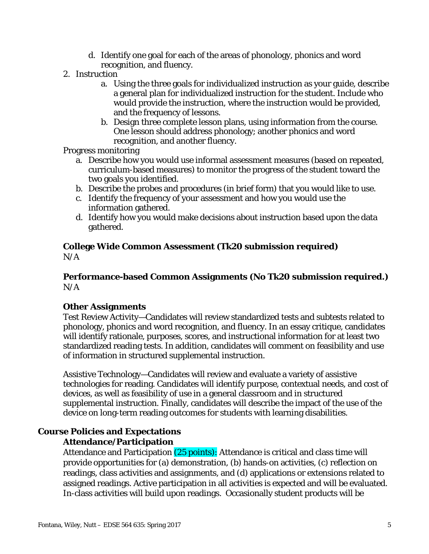- d. Identify one goal for each of the areas of phonology, phonics and word recognition, and fluency.
- 2. Instruction
	- a. Using the three goals for individualized instruction as your guide, describe a general plan for individualized instruction for the student. Include who would provide the instruction, where the instruction would be provided, and the frequency of lessons.
	- b. Design three complete lesson plans, using information from the course. One lesson should address phonology; another phonics and word recognition, and another fluency.

Progress monitoring

- a. Describe how you would use informal assessment measures (based on repeated, curriculum-based measures) to monitor the progress of the student toward the two goals you identified.
- b. Describe the probes and procedures (in brief form) that you would like to use.
- c. Identify the frequency of your assessment and how you would use the information gathered.
- d. Identify how you would make decisions about instruction based upon the data gathered.

#### **College Wide Common Assessment (Tk20 submission required)**  $N/A$

### **Performance-based Common Assignments (No Tk20 submission required.)**  $N/A$

# **Other Assignments**

Test Review Activity—Candidates will review standardized tests and subtests related to phonology, phonics and word recognition, and fluency. In an essay critique, candidates will identify rationale, purposes, scores, and instructional information for at least two standardized reading tests. In addition, candidates will comment on feasibility and use of information in structured supplemental instruction.

Assistive Technology—Candidates will review and evaluate a variety of assistive technologies for reading. Candidates will identify purpose, contextual needs, and cost of devices, as well as feasibility of use in a general classroom and in structured supplemental instruction. Finally, candidates will describe the impact of the use of the device on long-term reading outcomes for students with learning disabilities.

#### **Course Policies and Expectations**

#### **Attendance/Participation**

Attendance and Participation (25 points): Attendance is critical and class time will provide opportunities for (a) demonstration, (b) hands-on activities, (c) reflection on readings, class activities and assignments, and (d) applications or extensions related to assigned readings. Active participation in all activities is expected and will be evaluated. In-class activities will build upon readings. Occasionally student products will be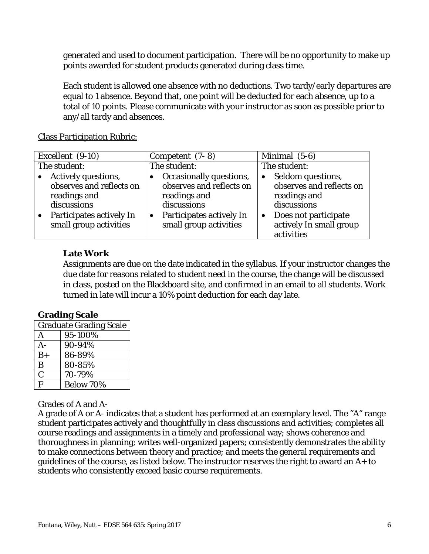generated and used to document participation. There will be no opportunity to make up points awarded for student products generated during class time.

Each student is allowed one absence with no deductions. Two tardy/early departures are equal to 1 absence. Beyond that, one point will be deducted for each absence, up to a total of 10 points. Please communicate with your instructor as soon as possible prior to any/all tardy and absences.

Class Participation Rubric:

| Excellent (9-10)                      | Competent $(7-8)$        | Minimal (5-6)                  |
|---------------------------------------|--------------------------|--------------------------------|
| The student:                          | The student:             | The student:                   |
| Actively questions,<br>$\bullet$      | Occasionally questions,  | Seldom questions,<br>$\bullet$ |
| observes and reflects on              | observes and reflects on | observes and reflects on       |
| readings and                          | readings and             | readings and                   |
| discussions                           | discussions              | discussions                    |
| Participates actively In<br>$\bullet$ | Participates actively In | Does not participate           |
| small group activities                | small group activities   | actively In small group        |
|                                       |                          | activities                     |

# **Late Work**

Assignments are due on the date indicated in the syllabus. If your instructor changes the due date for reasons related to student need in the course, the change will be discussed in class, posted on the Blackboard site, and confirmed in an email to all students. Work turned in late will incur a 10% point deduction for each day late.

# **Grading Scale**

| <b>Graduate Grading Scale</b> |           |  |
|-------------------------------|-----------|--|
| A                             | 95-100%   |  |
| $A -$                         | 90-94%    |  |
| $B+$                          | 86-89%    |  |
| B                             | 80-85%    |  |
| $\mathbf C$                   | 70-79%    |  |
| $\mathbf{F}$                  | Below 70% |  |

# Grades of A and A-

A grade of A or A- indicates that a student has performed at an exemplary level. The "A" range student participates actively and thoughtfully in class discussions and activities; completes all course readings and assignments in a timely and professional way; shows coherence and thoroughness in planning; writes well-organized papers; consistently demonstrates the ability to make connections between theory and practice; and meets the general requirements and guidelines of the course, as listed below. The instructor reserves the right to award an A+ to students who consistently exceed basic course requirements.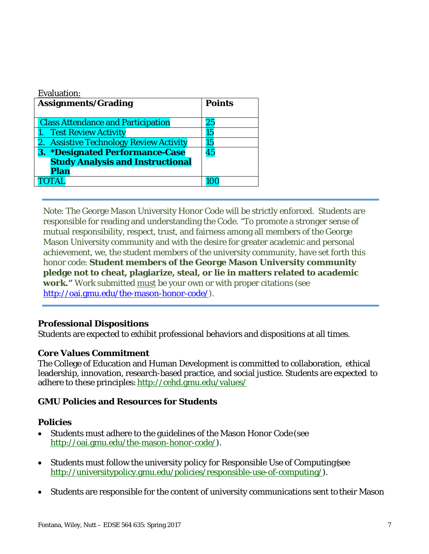| Evaluation:                                       |               |
|---------------------------------------------------|---------------|
| <b>Assignments/Grading</b>                        | <b>Points</b> |
|                                                   |               |
| <b>Class Attendance and Participation</b>         | 25            |
| 1. Test Review Activity                           | 15            |
| <b>Assistive Technology Review Activity</b><br>2. | 15            |
| 3. *Designated Performance-Case                   | 45            |
| <b>Study Analysis and Instructional</b>           |               |
| <b>Plan</b>                                       |               |
|                                                   |               |

Note: The George Mason University Honor Code will be strictly enforced. Students are responsible for reading and understanding the Code. "To promote a stronger sense of mutual responsibility, respect, trust, and fairness among all members of the George Mason University community and with the desire for greater academic and personal achievement, we, the student members of the university community, have set forth this honor code: **Student members of the George Mason University community pledge not to cheat, plagiarize, steal, or lie in matters related to academic work."** Work submitted must be your own or with proper citations (see http://oai.gmu.edu/the-mason-honor-code/).

# **Professional Dispositions**

Students are expected to exhibit professional behaviors and dispositions at all times.

#### **Core Values Commitment**

The College of Education and Human Development is committed to collaboration, ethical leadership, innovation, research-based practice, and social justice. Students are expected to adhere to these principles: http://cehd.gmu.edu/values/

# **GMU Policies and Resources for Students**

#### **Policies**

- Students must adhere to the guidelines of the Mason Honor Code (see http://oai.gmu.edu/the-mason-honor-code/).
- Students must follow the university policy for Responsible Use of Computing (see http://universitypolicy.gmu.edu/policies/responsible-use-of-computing/).
- Students are responsible for the content of university communications sent to their Mason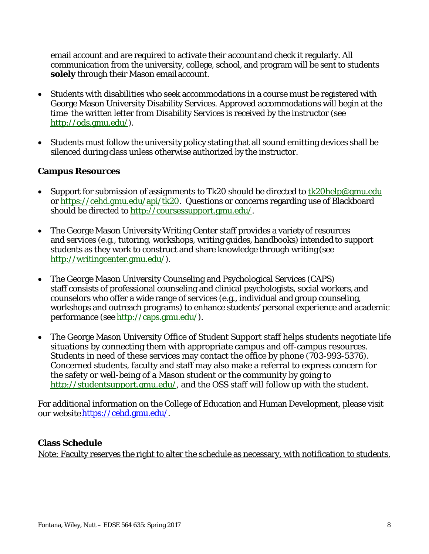email account and are required to activate their account and check it regularly. All communication from the university, college, school, and program will be sent to students **solely** through their Mason email account.

- Students with disabilities who seek accommodations in a course must be registered with George Mason University Disability Services. Approved accommodations will begin at the time the written letter from Disability Services is received by the instructor (see http://ods.gmu.edu/).
- Students must follow the university policy stating that all sound emitting devices shall be silenced during class unless otherwise authorized by the instructor.

# **Campus Resources**

- Support for submission of assignments to Tk20 should be directed to  $\underline{\text{tk20}$ help@gmu.edu or https://cehd.gmu.edu/api/tk20. Questions or concerns regarding use of Blackboard should be directed to http://coursessupport.gmu.edu/.
- The George Mason University Writing Center staff provides a variety of resources and services (e.g., tutoring, workshops, writing guides, handbooks) intended to support students as they work to construct and share knowledge through writing (see http://writingcenter.gmu.edu/).
- The George Mason University Counseling and Psychological Services (CAPS) staff consists of professional counseling and clinical psychologists, social workers, and counselors who offer a wide range of services (e.g., individual and group counseling, workshops and outreach programs) to enhance students' personal experience and academic performance (see http://caps.gmu.edu/).
- The George Mason University Office of Student Support staff helps students negotiate life situations by connecting them with appropriate campus and off-campus resources. Students in need of these services may contact the office by phone (703-993-5376). Concerned students, faculty and staff may also make a referral to express concern for the safety or well-being of a Mason student or the community by going to http://studentsupport.gmu.edu/, and the OSS staff will follow up with the student.

For additional information on the College of Education and Human Development, please visit our website https://cehd.gmu.edu/.

# **Class Schedule**

Note: Faculty reserves the right to alter the schedule as necessary, with notification to students.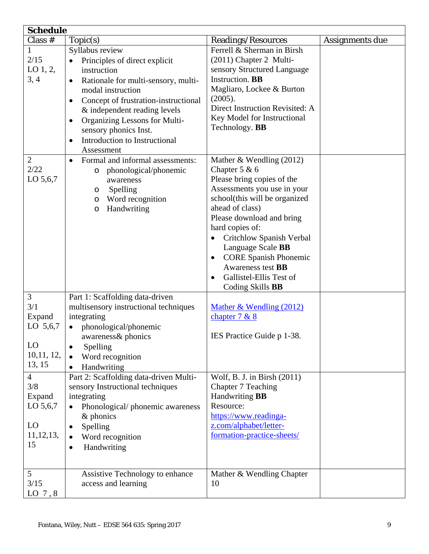| <b>Schedule</b>                                                        |                                                                                                                                                                                                                                                                                                                                                                  |                                                                                                                                                                                                                                                                                                                                                                                 |                 |
|------------------------------------------------------------------------|------------------------------------------------------------------------------------------------------------------------------------------------------------------------------------------------------------------------------------------------------------------------------------------------------------------------------------------------------------------|---------------------------------------------------------------------------------------------------------------------------------------------------------------------------------------------------------------------------------------------------------------------------------------------------------------------------------------------------------------------------------|-----------------|
| Class#                                                                 | Topic(s)                                                                                                                                                                                                                                                                                                                                                         | Readings/Resources                                                                                                                                                                                                                                                                                                                                                              | Assignments due |
| 1<br>2/15<br>LO $1, 2$ ,<br>3, 4                                       | Syllabus review<br>Principles of direct explicit<br>instruction<br>Rationale for multi-sensory, multi-<br>$\bullet$<br>modal instruction<br>Concept of frustration-instructional<br>$\bullet$<br>& independent reading levels<br>Organizing Lessons for Multi-<br>$\bullet$<br>sensory phonics Inst.<br>Introduction to Instructional<br>$\bullet$<br>Assessment | Ferrell & Sherman in Birsh<br>(2011) Chapter 2 Multi-<br>sensory Structured Language<br><b>Instruction</b> . <b>BB</b><br>Magliaro, Lockee & Burton<br>(2005).<br>Direct Instruction Revisited: A<br>Key Model for Instructional<br>Technology. <b>BB</b>                                                                                                                       |                 |
| $\overline{2}$<br>2/22<br>LO 5,6,7                                     | Formal and informal assessments:<br>$\bullet$<br>phonological/phonemic<br>O<br>awareness<br>Spelling<br>O<br>Word recognition<br>O<br>Handwriting<br>$\circ$                                                                                                                                                                                                     | Mather & Wendling (2012)<br>Chapter $5 & 6$<br>Please bring copies of the<br>Assessments you use in your<br>school(this will be organized<br>ahead of class)<br>Please download and bring<br>hard copies of:<br>Critchlow Spanish Verbal<br>Language Scale BB<br><b>CORE Spanish Phonemic</b><br>Awareness test <b>BB</b><br>Gallistel-Ellis Test of<br>Coding Skills <b>BB</b> |                 |
| 3<br>3/1<br>Expand<br>LO 5,6,7<br>LO<br>10,11, 12,<br>13, 15           | Part 1: Scaffolding data-driven<br>multisensory instructional techniques<br>integrating<br>phonological/phonemic<br>awareness& phonics<br>Spelling<br>$\bullet$<br>Word recognition<br>$\bullet$<br>Handwriting                                                                                                                                                  | Mather & Wendling (2012)<br>chapter 7 & 8<br>IES Practice Guide p 1-38.                                                                                                                                                                                                                                                                                                         |                 |
| $\overline{4}$<br>3/8<br>Expand<br>LO 5,6,7<br>LO<br>11, 12, 13,<br>15 | Part 2: Scaffolding data-driven Multi-<br>sensory Instructional techniques<br>integrating<br>Phonological/phonemic awareness<br>$&$ phonics<br>Spelling<br>$\bullet$<br>Word recognition<br>$\bullet$<br>Handwriting                                                                                                                                             | Wolf, B. J. in Birsh (2011)<br>Chapter 7 Teaching<br>Handwriting <b>BB</b><br>Resource:<br>https://www.readinga-<br>z.com/alphabet/letter-<br>formation-practice-sheets/                                                                                                                                                                                                        |                 |
| 5<br>3/15<br>LO $7, 8$                                                 | Assistive Technology to enhance<br>access and learning                                                                                                                                                                                                                                                                                                           | Mather & Wendling Chapter<br>10                                                                                                                                                                                                                                                                                                                                                 |                 |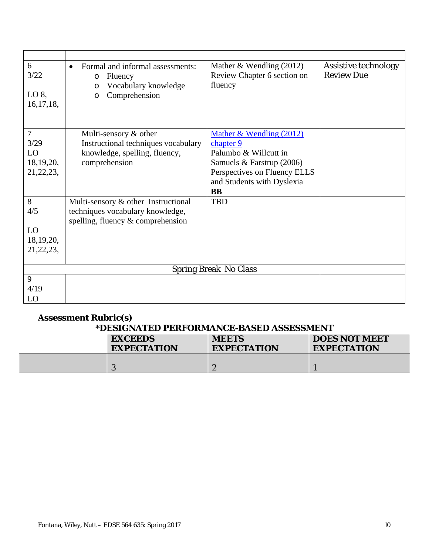| 6<br>3/22<br>$LO 8$ ,<br>16, 17, 18, | Formal and informal assessments:<br>$\bullet$<br>Fluency<br>$\circ$<br>Vocabulary knowledge<br>$\circ$<br>Comprehension<br>O | Mather & Wendling $(2012)$<br>Review Chapter 6 section on<br>fluency | <b>Assistive technology</b><br><b>Review Due</b> |
|--------------------------------------|------------------------------------------------------------------------------------------------------------------------------|----------------------------------------------------------------------|--------------------------------------------------|
| 7                                    | Multi-sensory & other                                                                                                        | Mather & Wendling (2012)                                             |                                                  |
| 3/29                                 | Instructional techniques vocabulary                                                                                          | chapter 9                                                            |                                                  |
| LO                                   | knowledge, spelling, fluency,                                                                                                | Palumbo & Willcutt in                                                |                                                  |
| 18, 19, 20,                          | comprehension                                                                                                                | Samuels $&$ Farstrup (2006)                                          |                                                  |
| 21, 22, 23,                          |                                                                                                                              | Perspectives on Fluency ELLS                                         |                                                  |
|                                      |                                                                                                                              | and Students with Dyslexia                                           |                                                  |
|                                      |                                                                                                                              | <b>BB</b>                                                            |                                                  |
| 8                                    | Multi-sensory & other Instructional                                                                                          | <b>TBD</b>                                                           |                                                  |
| 4/5                                  | techniques vocabulary knowledge,                                                                                             |                                                                      |                                                  |
|                                      | spelling, fluency $\&$ comprehension                                                                                         |                                                                      |                                                  |
| LO                                   |                                                                                                                              |                                                                      |                                                  |
| 18, 19, 20,                          |                                                                                                                              |                                                                      |                                                  |
| 21, 22, 23,                          |                                                                                                                              |                                                                      |                                                  |
|                                      |                                                                                                                              | <b>Spring Break No Class</b>                                         |                                                  |
| 9                                    |                                                                                                                              |                                                                      |                                                  |
| 4/19                                 |                                                                                                                              |                                                                      |                                                  |
| LO                                   |                                                                                                                              |                                                                      |                                                  |

# **Assessment Rubric(s)**

### **\*DESIGNATED PERFORMANCE-BASED ASSESSMENT**

| <b>EXCEEDS</b>     | <b>MEETS</b>       | <b>DOES NOT MEET</b> |
|--------------------|--------------------|----------------------|
| <b>EXPECTATION</b> | <b>EXPECTATION</b> | <b>EXPECTATION</b>   |
|                    |                    |                      |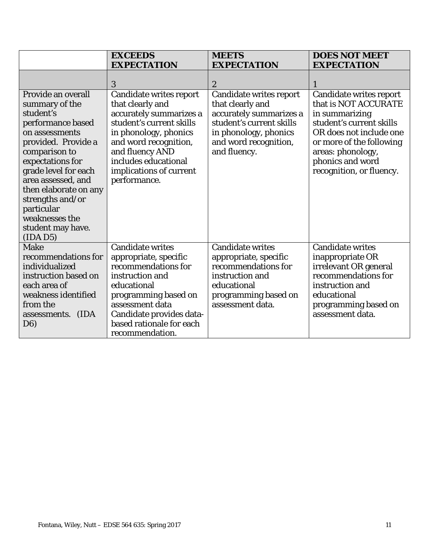|                                                                                                                                                                                                                                                                                                                     | <b>EXCEEDS</b><br><b>EXPECTATION</b>                                                                                                                                                                                                       | <b>MEETS</b><br><b>EXPECTATION</b>                                                                                                                                   | <b>DOES NOT MEET</b><br><b>EXPECTATION</b>                                                                                                                                                                                |
|---------------------------------------------------------------------------------------------------------------------------------------------------------------------------------------------------------------------------------------------------------------------------------------------------------------------|--------------------------------------------------------------------------------------------------------------------------------------------------------------------------------------------------------------------------------------------|----------------------------------------------------------------------------------------------------------------------------------------------------------------------|---------------------------------------------------------------------------------------------------------------------------------------------------------------------------------------------------------------------------|
|                                                                                                                                                                                                                                                                                                                     | 3                                                                                                                                                                                                                                          | $\overline{2}$                                                                                                                                                       |                                                                                                                                                                                                                           |
| Provide an overall<br>summary of the<br>student's<br>performance based<br>on assessments<br>provided. Provide a<br>comparison to<br>expectations for<br>grade level for each<br>area assessed, and<br>then elaborate on any<br>strengths and/or<br>particular<br>weaknesses the<br>student may have.<br>$(IDA\,D5)$ | Candidate writes report<br>that clearly and<br>accurately summarizes a<br>student's current skills<br>in phonology, phonics<br>and word recognition,<br>and fluency AND<br>includes educational<br>implications of current<br>performance. | Candidate writes report<br>that clearly and<br>accurately summarizes a<br>student's current skills<br>in phonology, phonics<br>and word recognition,<br>and fluency. | Candidate writes report<br>that is NOT ACCURATE<br>in summarizing<br>student's current skills<br>OR does not include one<br>or more of the following<br>areas: phonology,<br>phonics and word<br>recognition, or fluency. |
| <b>Make</b><br>recommendations for<br>individualized<br>instruction based on<br>each area of<br>weakness identified<br>from the<br>assessments. (IDA<br>D <sub>6</sub> )                                                                                                                                            | <b>Candidate writes</b><br>appropriate, specific<br>recommendations for<br>instruction and<br>educational<br>programming based on<br>assessment data<br>Candidate provides data-<br>based rationale for each<br>recommendation.            | <b>Candidate writes</b><br>appropriate, specific<br>recommendations for<br>instruction and<br>educational<br>programming based on<br>assessment data.                | <b>Candidate writes</b><br>inappropriate OR<br>irrelevant OR general<br>recommendations for<br>instruction and<br>educational<br>programming based on<br>assessment data.                                                 |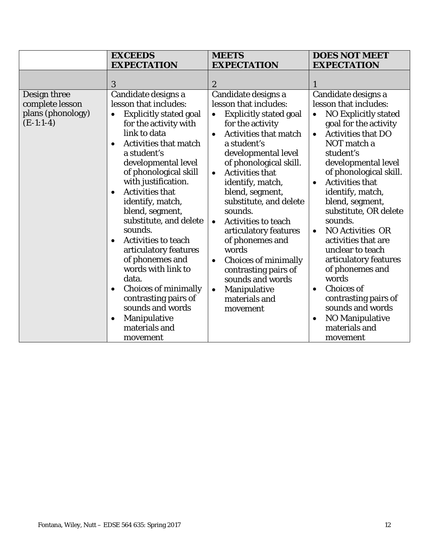|                                  | <b>EXCEEDS</b><br><b>EXPECTATION</b>                                                                                                                                                                                                                                                                                                                                                                                                                                                                                                                                       | <b>MEETS</b><br><b>EXPECTATION</b>                                                                                                                                                                                                                                                                                                                                                                                                                                                                                                 | <b>DOES NOT MEET</b><br><b>EXPECTATION</b>                                                                                                                                                                                                                                                                                                                                                                                                                                                                                                                                                    |
|----------------------------------|----------------------------------------------------------------------------------------------------------------------------------------------------------------------------------------------------------------------------------------------------------------------------------------------------------------------------------------------------------------------------------------------------------------------------------------------------------------------------------------------------------------------------------------------------------------------------|------------------------------------------------------------------------------------------------------------------------------------------------------------------------------------------------------------------------------------------------------------------------------------------------------------------------------------------------------------------------------------------------------------------------------------------------------------------------------------------------------------------------------------|-----------------------------------------------------------------------------------------------------------------------------------------------------------------------------------------------------------------------------------------------------------------------------------------------------------------------------------------------------------------------------------------------------------------------------------------------------------------------------------------------------------------------------------------------------------------------------------------------|
| Design three<br>complete lesson  | 3<br>Candidate designs a<br>lesson that includes:                                                                                                                                                                                                                                                                                                                                                                                                                                                                                                                          | $\boldsymbol{2}$<br>Candidate designs a<br>lesson that includes:                                                                                                                                                                                                                                                                                                                                                                                                                                                                   | Candidate designs a<br>lesson that includes:                                                                                                                                                                                                                                                                                                                                                                                                                                                                                                                                                  |
| plans (phonology)<br>$(E-1:1-4)$ | <b>Explicitly stated goal</b><br>$\bullet$<br>for the activity with<br>link to data<br><b>Activities that match</b><br>a student's<br>developmental level<br>of phonological skill<br>with justification.<br><b>Activities that</b><br>$\bullet$<br>identify, match,<br>blend, segment,<br>substitute, and delete<br>sounds.<br><b>Activities to teach</b><br>$\bullet$<br>articulatory features<br>of phonemes and<br>words with link to<br>data.<br><b>Choices of minimally</b><br>contrasting pairs of<br>sounds and words<br>Manipulative<br>materials and<br>movement | <b>Explicitly stated goal</b><br>$\bullet$<br>for the activity<br><b>Activities that match</b><br>$\bullet$<br>a student's<br>developmental level<br>of phonological skill.<br><b>Activities that</b><br>$\bullet$<br>identify, match,<br>blend, segment,<br>substitute, and delete<br>sounds.<br>Activities to teach<br>$\bullet$<br>articulatory features<br>of phonemes and<br>words<br>Choices of minimally<br>$\bullet$<br>contrasting pairs of<br>sounds and words<br>Manipulative<br>$\bullet$<br>materials and<br>movement | NO Explicitly stated<br>$\bullet$<br>goal for the activity<br><b>Activities that DO</b><br>$\bullet$<br>NOT match a<br>student's<br>developmental level<br>of phonological skill.<br><b>Activities that</b><br>$\bullet$<br>identify, match,<br>blend, segment,<br>substitute, OR delete<br>sounds.<br><b>NO Activities OR</b><br>$\bullet$<br>activities that are<br>unclear to teach<br>articulatory features<br>of phonemes and<br>words<br><b>Choices of</b><br>$\bullet$<br>contrasting pairs of<br>sounds and words<br><b>NO Manipulative</b><br>$\bullet$<br>materials and<br>movement |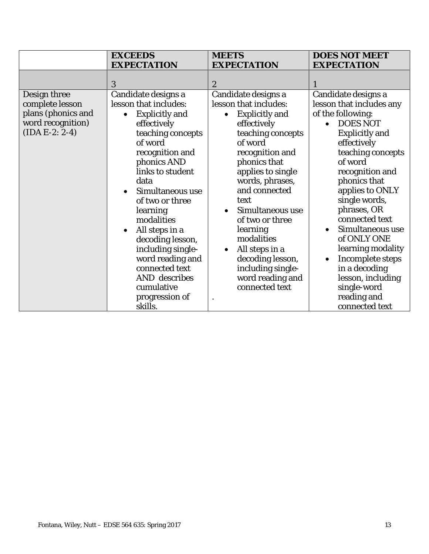|                                                       | <b>EXCEEDS</b>                                                                                                                                                                                                                                                                                                                                              | <b>MEETS</b>                                                                                                                                                                                                                                                                                                                                | <b>DOES NOT MEET</b>                                                                                                                                                                                                                                                                                                                                              |
|-------------------------------------------------------|-------------------------------------------------------------------------------------------------------------------------------------------------------------------------------------------------------------------------------------------------------------------------------------------------------------------------------------------------------------|---------------------------------------------------------------------------------------------------------------------------------------------------------------------------------------------------------------------------------------------------------------------------------------------------------------------------------------------|-------------------------------------------------------------------------------------------------------------------------------------------------------------------------------------------------------------------------------------------------------------------------------------------------------------------------------------------------------------------|
| Design three<br>complete lesson<br>plans (phonics and | <b>EXPECTATION</b><br>3<br>Candidate designs a<br>lesson that includes:<br><b>Explicitly and</b><br>$\bullet$                                                                                                                                                                                                                                               | <b>EXPECTATION</b><br>$\boldsymbol{2}$<br>Candidate designs a<br>lesson that includes:<br><b>Explicitly and</b><br>$\bullet$                                                                                                                                                                                                                | <b>EXPECTATION</b><br>Candidate designs a<br>lesson that includes any<br>of the following:                                                                                                                                                                                                                                                                        |
| word recognition)<br>$(IDA E-2: 2-4)$                 | effectively<br>teaching concepts<br>of word<br>recognition and<br>phonics AND<br>links to student<br>data<br>Simultaneous use<br>of two or three<br>learning<br>modalities<br>All steps in a<br>$\bullet$<br>decoding lesson,<br>including single-<br>word reading and<br>connected text<br><b>AND</b> describes<br>cumulative<br>progression of<br>skills. | effectively<br>teaching concepts<br>of word<br>recognition and<br>phonics that<br>applies to single<br>words, phrases,<br>and connected<br>text<br>Simultaneous use<br>$\bullet$<br>of two or three<br>learning<br>modalities<br>All steps in a<br>$\bullet$<br>decoding lesson,<br>including single-<br>word reading and<br>connected text | <b>DOES NOT</b><br><b>Explicitly and</b><br>effectively<br>teaching concepts<br>of word<br>recognition and<br>phonics that<br>applies to ONLY<br>single words,<br>phrases, OR<br>connected text<br>Simultaneous use<br>of ONLY ONE<br>learning modality<br>Incomplete steps<br>in a decoding<br>lesson, including<br>single-word<br>reading and<br>connected text |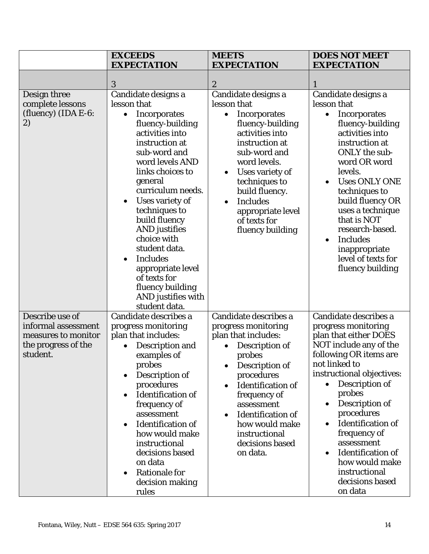|                                                                                                  | <b>EXCEEDS</b><br><b>EXPECTATION</b>                                                                                                                                                                                                                                                                                                                                                                                                                                | <b>MEETS</b><br><b>EXPECTATION</b>                                                                                                                                                                                                                                                                                          | <b>DOES NOT MEET</b><br><b>EXPECTATION</b>                                                                                                                                                                                                                                                                                                                                                              |
|--------------------------------------------------------------------------------------------------|---------------------------------------------------------------------------------------------------------------------------------------------------------------------------------------------------------------------------------------------------------------------------------------------------------------------------------------------------------------------------------------------------------------------------------------------------------------------|-----------------------------------------------------------------------------------------------------------------------------------------------------------------------------------------------------------------------------------------------------------------------------------------------------------------------------|---------------------------------------------------------------------------------------------------------------------------------------------------------------------------------------------------------------------------------------------------------------------------------------------------------------------------------------------------------------------------------------------------------|
|                                                                                                  | 3                                                                                                                                                                                                                                                                                                                                                                                                                                                                   | $\boldsymbol{2}$                                                                                                                                                                                                                                                                                                            |                                                                                                                                                                                                                                                                                                                                                                                                         |
| Design three<br>complete lessons<br>(fluency) (IDA $E-6$ :<br>2)                                 | Candidate designs a<br>lesson that<br><b>Incorporates</b><br>$\bullet$<br>fluency-building<br>activities into<br>instruction at<br>sub-word and<br>word levels AND<br>links choices to<br>general<br>curriculum needs.<br>Uses variety of<br>$\bullet$<br>techniques to<br>build fluency<br><b>AND</b> justifies<br>choice with<br>student data.<br><b>Includes</b><br>appropriate level<br>of texts for<br>fluency building<br>AND justifies with<br>student data. | Candidate designs a<br>lesson that<br><b>Incorporates</b><br>$\bullet$<br>fluency-building<br>activities into<br>instruction at<br>sub-word and<br>word levels.<br>Uses variety of<br>$\bullet$<br>techniques to<br>build fluency.<br><b>Includes</b><br>$\bullet$<br>appropriate level<br>of texts for<br>fluency building | Candidate designs a<br>lesson that<br><b>Incorporates</b><br>$\bullet$<br>fluency-building<br>activities into<br>instruction at<br><b>ONLY</b> the sub-<br>word OR word<br>levels.<br><b>Uses ONLY ONE</b><br>techniques to<br>build fluency OR<br>uses a technique<br>that is NOT<br>research-based.<br><b>Includes</b><br>$\bullet$<br>inappropriate<br>level of texts for<br>fluency building        |
| Describe use of<br>informal assessment<br>measures to monitor<br>the progress of the<br>student. | Candidate describes a<br>progress monitoring<br>plan that includes:<br>Description and<br>examples of<br>probes<br>Description of<br>٠<br>procedures<br><b>Identification of</b><br>$\bullet$<br>frequency of<br>assessment<br><b>Identification of</b><br>$\bullet$<br>how would make<br>instructional<br>decisions based<br>on data<br><b>Rationale for</b><br>decision making<br>rules                                                                           | Candidate describes a<br>progress monitoring<br>plan that includes:<br>Description of<br>probes<br>Description of<br>procedures<br><b>Identification of</b><br>frequency of<br>assessment<br><b>Identification of</b><br>$\bullet$<br>how would make<br>instructional<br>decisions based<br>on data.                        | Candidate describes a<br>progress monitoring<br>plan that either DOES<br>NOT include any of the<br>following OR items are<br>not linked to<br>instructional objectives:<br>Description of<br>$\bullet$<br>probes<br>Description of<br>procedures<br><b>Identification of</b><br>frequency of<br>assessment<br><b>Identification of</b><br>how would make<br>instructional<br>decisions based<br>on data |